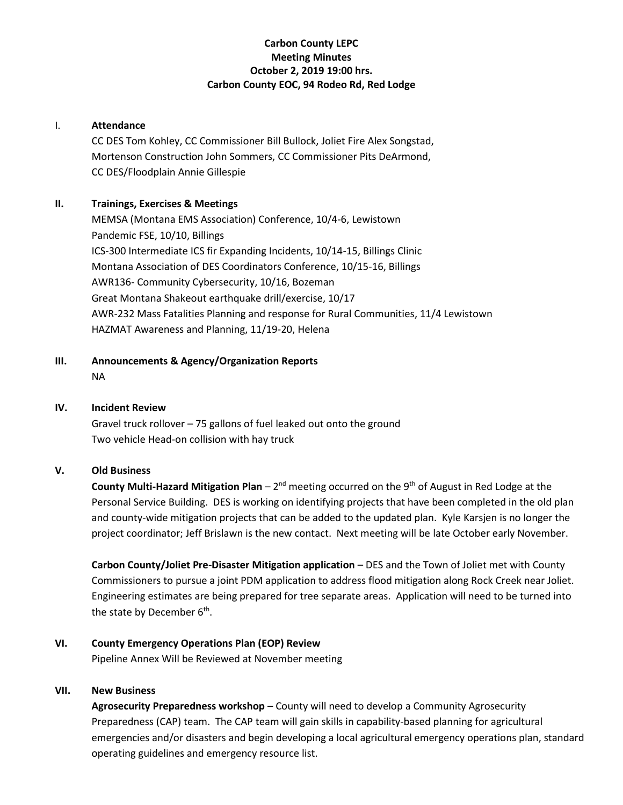# **Carbon County LEPC Meeting Minutes October 2, 2019 19:00 hrs. Carbon County EOC, 94 Rodeo Rd, Red Lodge**

#### I. **Attendance**

CC DES Tom Kohley, CC Commissioner Bill Bullock, Joliet Fire Alex Songstad, Mortenson Construction John Sommers, CC Commissioner Pits DeArmond, CC DES/Floodplain Annie Gillespie

# **II. Trainings, Exercises & Meetings**

MEMSA (Montana EMS Association) Conference, 10/4-6, Lewistown Pandemic FSE, 10/10, Billings ICS-300 Intermediate ICS fir Expanding Incidents, 10/14-15, Billings Clinic Montana Association of DES Coordinators Conference, 10/15-16, Billings AWR136- Community Cybersecurity, 10/16, Bozeman Great Montana Shakeout earthquake drill/exercise, 10/17 AWR-232 Mass Fatalities Planning and response for Rural Communities, 11/4 Lewistown HAZMAT Awareness and Planning, 11/19-20, Helena

**III. Announcements & Agency/Organization Reports** NA

#### **IV. Incident Review**

Gravel truck rollover – 75 gallons of fuel leaked out onto the ground Two vehicle Head-on collision with hay truck

# **V. Old Business**

**County Multi-Hazard Mitigation Plan** – 2<sup>nd</sup> meeting occurred on the 9<sup>th</sup> of August in Red Lodge at the Personal Service Building. DES is working on identifying projects that have been completed in the old plan and county-wide mitigation projects that can be added to the updated plan. Kyle Karsjen is no longer the project coordinator; Jeff Brislawn is the new contact. Next meeting will be late October early November.

**Carbon County/Joliet Pre-Disaster Mitigation application** – DES and the Town of Joliet met with County Commissioners to pursue a joint PDM application to address flood mitigation along Rock Creek near Joliet. Engineering estimates are being prepared for tree separate areas. Application will need to be turned into the state by December 6<sup>th</sup>.

# **VI. County Emergency Operations Plan (EOP) Review**

Pipeline Annex Will be Reviewed at November meeting

# **VII. New Business**

**Agrosecurity Preparedness workshop** – County will need to develop a Community Agrosecurity Preparedness (CAP) team. The CAP team will gain skills in capability-based planning for agricultural emergencies and/or disasters and begin developing a local agricultural emergency operations plan, standard operating guidelines and emergency resource list.